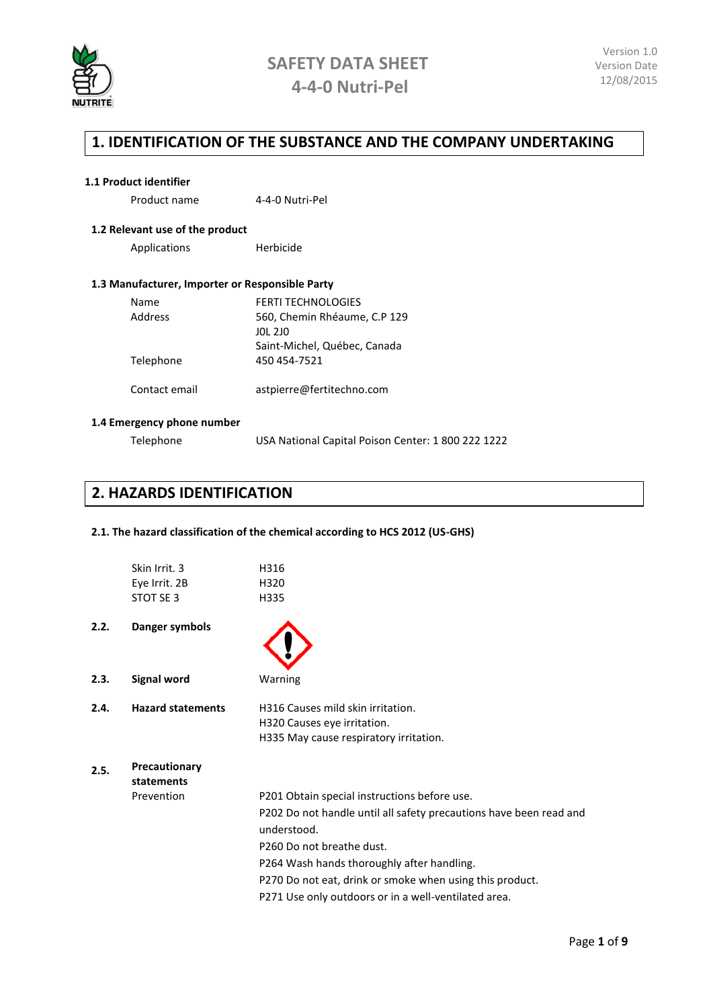

### **1. IDENTIFICATION OF THE SUBSTANCE AND THE COMPANY UNDERTAKING**

#### **1.1 Product identifier**

| Product name | 4-4-0 Nutri-Pel |
|--------------|-----------------|
|              |                 |

#### **1.2 Relevant use of the product**

Applications Herbicide

#### **1.3 Manufacturer, Importer or Responsible Party**

| <b>Name</b><br>Address | <b>FERTI TECHNOLOGIES</b><br>560, Chemin Rhéaume, C.P 129<br>JOL 2JO |
|------------------------|----------------------------------------------------------------------|
| Telephone              | Saint-Michel, Québec, Canada<br>450 454-7521                         |
| Contact email          | astpierre@fertitechno.com                                            |

#### **1.4 Emergency phone number**

Telephone USA National Capital Poison Center: 1 800 222 1222

### **2. HAZARDS IDENTIFICATION**

#### **2.1. The hazard classification of the chemical according to HCS 2012 (US-GHS)**

|      | Skin Irrit. 3<br>Eye Irrit. 2B<br>STOT SE 3 | H316<br>H320<br>H335                                                                                                                                                                                                                                                                                                             |
|------|---------------------------------------------|----------------------------------------------------------------------------------------------------------------------------------------------------------------------------------------------------------------------------------------------------------------------------------------------------------------------------------|
| 2.2. | Danger symbols                              |                                                                                                                                                                                                                                                                                                                                  |
| 2.3. | <b>Signal word</b>                          | Warning                                                                                                                                                                                                                                                                                                                          |
| 2.4. | <b>Hazard statements</b>                    | H316 Causes mild skin irritation.<br>H320 Causes eye irritation.<br>H335 May cause respiratory irritation.                                                                                                                                                                                                                       |
| 2.5. | Precautionary<br>statements<br>Prevention   | P201 Obtain special instructions before use.<br>P202 Do not handle until all safety precautions have been read and<br>understood.<br>P260 Do not breathe dust.<br>P264 Wash hands thoroughly after handling.<br>P270 Do not eat, drink or smoke when using this product.<br>P271 Use only outdoors or in a well-ventilated area. |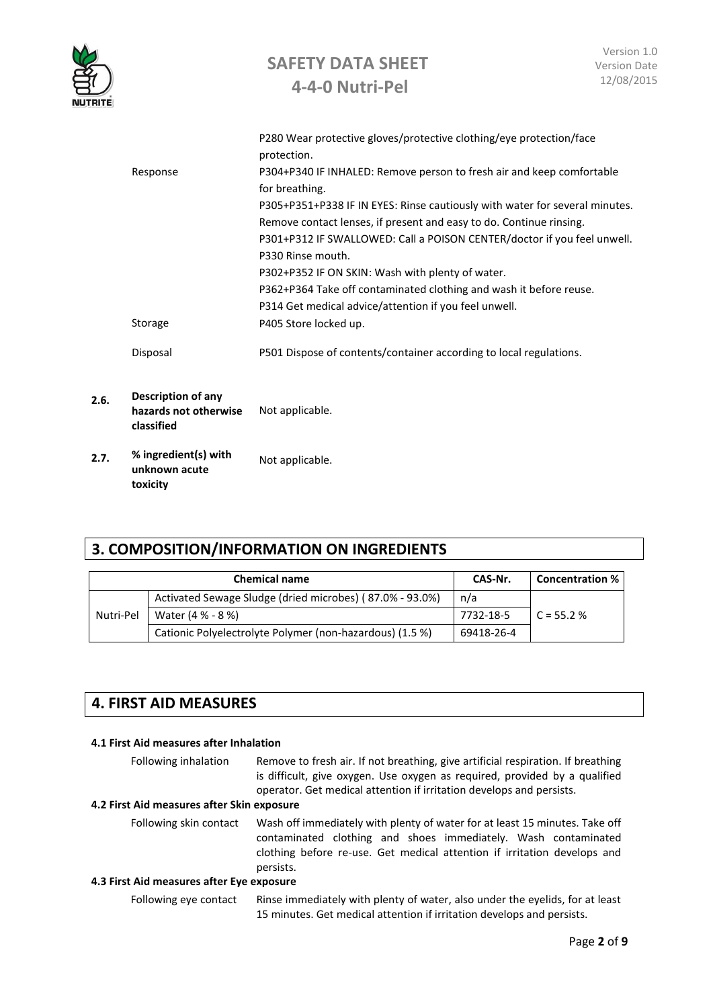

|                      | P280 Wear protective gloves/protective clothing/eye protection/face         |
|----------------------|-----------------------------------------------------------------------------|
|                      | protection.                                                                 |
| Response             | P304+P340 IF INHALED: Remove person to fresh air and keep comfortable       |
|                      | for breathing.                                                              |
|                      | P305+P351+P338 IF IN EYES: Rinse cautiously with water for several minutes. |
|                      | Remove contact lenses, if present and easy to do. Continue rinsing.         |
|                      | P301+P312 IF SWALLOWED: Call a POISON CENTER/doctor if you feel unwell.     |
|                      | P330 Rinse mouth.                                                           |
|                      | P302+P352 IF ON SKIN: Wash with plenty of water.                            |
|                      | P362+P364 Take off contaminated clothing and wash it before reuse.          |
|                      | P314 Get medical advice/attention if you feel unwell.                       |
| Storage              | P405 Store locked up.                                                       |
| Disposal             | P501 Dispose of contents/container according to local regulations.          |
|                      |                                                                             |
| Dessuistisse of sons |                                                                             |

- **2.6. Description of any hazards not otherwise**  Not applicable. **classified 2.7. % ingredient(s) with**
- **unknown acute toxicity** Not applicable.

# **3. COMPOSITION/INFORMATION ON INGREDIENTS**

|           | <b>Chemical name</b>                                     | CAS-Nr.    | <b>Concentration %</b> |
|-----------|----------------------------------------------------------|------------|------------------------|
|           | Activated Sewage Sludge (dried microbes) (87.0% - 93.0%) | n/a        |                        |
| Nutri-Pel | Water (4 % - 8 %)                                        | 7732-18-5  | $C = 55.2%$            |
|           | Cationic Polyelectrolyte Polymer (non-hazardous) (1.5 %) | 69418-26-4 |                        |

# **4. FIRST AID MEASURES**

#### **4.1 First Aid measures after Inhalation**

| Following inhalation                       | Remove to fresh air. If not breathing, give artificial respiration. If breathing<br>is difficult, give oxygen. Use oxygen as required, provided by a qualified<br>operator. Get medical attention if irritation develops and persists. |  |
|--------------------------------------------|----------------------------------------------------------------------------------------------------------------------------------------------------------------------------------------------------------------------------------------|--|
| 4.2 First Aid measures after Skin exposure |                                                                                                                                                                                                                                        |  |
| Following skin contact                     | Wash off immediately with plenty of water for at least 15 minutes. Take off<br>contaminated clothing and shoes immediately. Wash contaminated<br>clothing before re-use. Get medical attention if irritation develops and<br>persists. |  |
| 4.3 First Aid measures after Eye exposure  |                                                                                                                                                                                                                                        |  |
| Following eye contact                      | Rinse immediately with plenty of water, also under the eyelids, for at least<br>15 minutes. Get medical attention if irritation develops and persists.                                                                                 |  |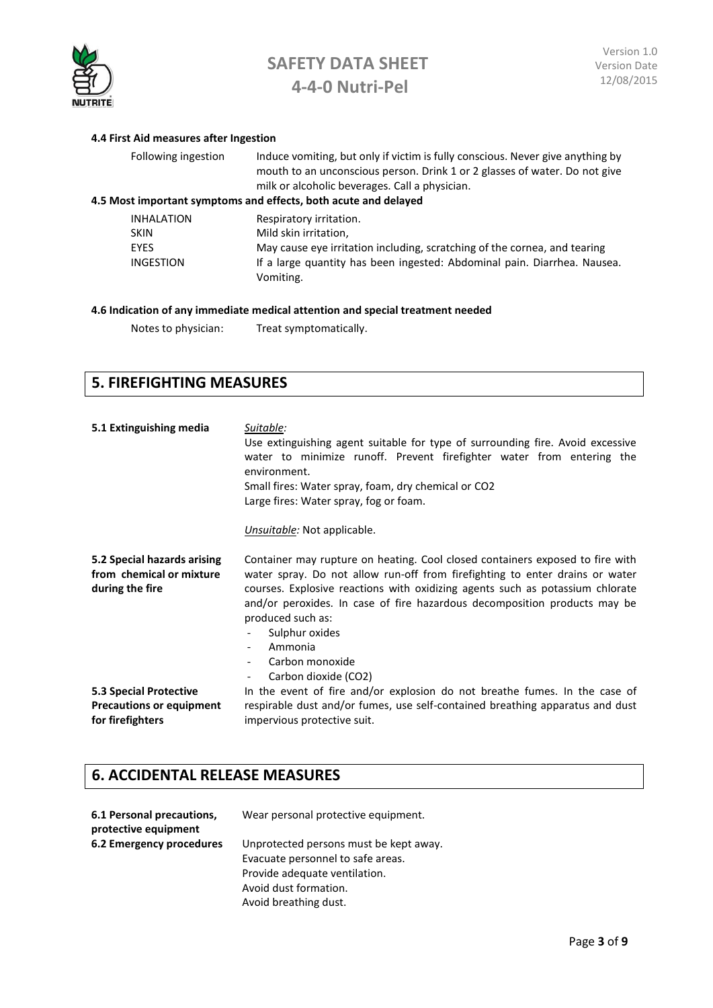

### **4.4 First Aid measures after Ingestion** Following ingestion Induce vomiting, but only if victim is fully conscious. Never give anything by mouth to an unconscious person. Drink 1 or 2 glasses of water. Do not give milk or alcoholic beverages. Call a physician. **4.5 Most important symptoms and effects, both acute and delayed INHALATION** Respiratory irritation.<br>
SKIN Mild skin irritation. Mild skin irritation, EYES May cause eye irritation including, scratching of the cornea, and tearing INGESTION If a large quantity has been ingested: Abdominal pain. Diarrhea. Nausea. Vomiting. **4.6 Indication of any immediate medical attention and special treatment needed**

Notes to physician: Treat symptomatically.

### **5. FIREFIGHTING MEASURES**

| 5.1 Extinguishing media                                                       | Suitable:<br>Use extinguishing agent suitable for type of surrounding fire. Avoid excessive<br>water to minimize runoff. Prevent firefighter water from entering the<br>environment.<br>Small fires: Water spray, foam, dry chemical or CO2<br>Large fires: Water spray, fog or foam.<br>Unsuitable: Not applicable.                                                                                                                                 |  |
|-------------------------------------------------------------------------------|------------------------------------------------------------------------------------------------------------------------------------------------------------------------------------------------------------------------------------------------------------------------------------------------------------------------------------------------------------------------------------------------------------------------------------------------------|--|
| 5.2 Special hazards arising<br>from chemical or mixture<br>during the fire    | Container may rupture on heating. Cool closed containers exposed to fire with<br>water spray. Do not allow run-off from firefighting to enter drains or water<br>courses. Explosive reactions with oxidizing agents such as potassium chlorate<br>and/or peroxides. In case of fire hazardous decomposition products may be<br>produced such as:<br>Sulphur oxides<br>Ammonia<br>Carbon monoxide<br>Carbon dioxide (CO2)<br>$\overline{\phantom{a}}$ |  |
| 5.3 Special Protective<br><b>Precautions or equipment</b><br>for firefighters | In the event of fire and/or explosion do not breathe fumes. In the case of<br>respirable dust and/or fumes, use self-contained breathing apparatus and dust<br>impervious protective suit.                                                                                                                                                                                                                                                           |  |

### **6. ACCIDENTAL RELEASE MEASURES**

| 6.1 Personal precautions,<br>protective equipment | Wear personal protective equipment.                                                                                                                            |
|---------------------------------------------------|----------------------------------------------------------------------------------------------------------------------------------------------------------------|
| <b>6.2 Emergency procedures</b>                   | Unprotected persons must be kept away.<br>Evacuate personnel to safe areas.<br>Provide adequate ventilation.<br>Avoid dust formation.<br>Avoid breathing dust. |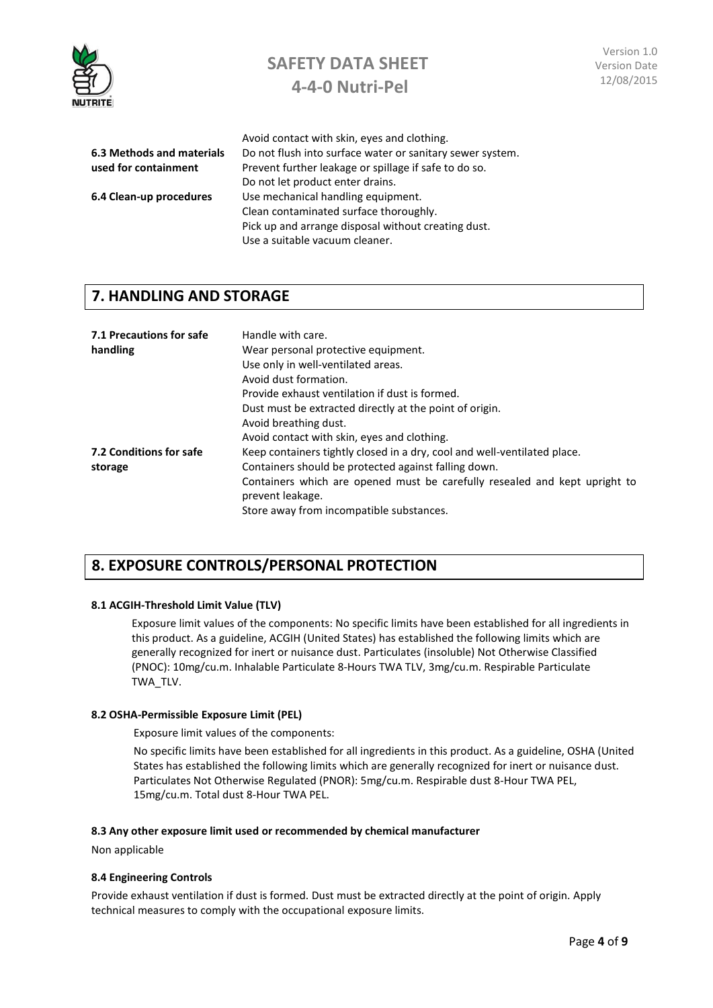

|                           | Avoid contact with skin, eyes and clothing.               |
|---------------------------|-----------------------------------------------------------|
| 6.3 Methods and materials | Do not flush into surface water or sanitary sewer system. |
| used for containment      | Prevent further leakage or spillage if safe to do so.     |
|                           | Do not let product enter drains.                          |
| 6.4 Clean-up procedures   | Use mechanical handling equipment.                        |
|                           | Clean contaminated surface thoroughly.                    |
|                           | Pick up and arrange disposal without creating dust.       |
|                           | Use a suitable vacuum cleaner.                            |
|                           |                                                           |

### **7. HANDLING AND STORAGE**

| 7.1 Precautions for safe<br>handling | Handle with care.<br>Wear personal protective equipment.<br>Use only in well-ventilated areas.<br>Avoid dust formation.<br>Provide exhaust ventilation if dust is formed.<br>Dust must be extracted directly at the point of origin.<br>Avoid breathing dust.<br>Avoid contact with skin, eyes and clothing. |
|--------------------------------------|--------------------------------------------------------------------------------------------------------------------------------------------------------------------------------------------------------------------------------------------------------------------------------------------------------------|
| 7.2 Conditions for safe              | Keep containers tightly closed in a dry, cool and well-ventilated place.                                                                                                                                                                                                                                     |
| storage                              | Containers should be protected against falling down.                                                                                                                                                                                                                                                         |
|                                      | Containers which are opened must be carefully resealed and kept upright to<br>prevent leakage.                                                                                                                                                                                                               |
|                                      | Store away from incompatible substances.                                                                                                                                                                                                                                                                     |

### **8. EXPOSURE CONTROLS/PERSONAL PROTECTION**

#### **8.1 ACGIH-Threshold Limit Value (TLV)**

Exposure limit values of the components: No specific limits have been established for all ingredients in this product. As a guideline, ACGIH (United States) has established the following limits which are generally recognized for inert or nuisance dust. Particulates (insoluble) Not Otherwise Classified (PNOC): 10mg/cu.m. Inhalable Particulate 8-Hours TWA TLV, 3mg/cu.m. Respirable Particulate TWA\_TLV.

#### **8.2 OSHA-Permissible Exposure Limit (PEL)**

Exposure limit values of the components:

No specific limits have been established for all ingredients in this product. As a guideline, OSHA (United States has established the following limits which are generally recognized for inert or nuisance dust. Particulates Not Otherwise Regulated (PNOR): 5mg/cu.m. Respirable dust 8-Hour TWA PEL, 15mg/cu.m. Total dust 8-Hour TWA PEL.

#### **8.3 Any other exposure limit used or recommended by chemical manufacturer**

Non applicable

#### **8.4 Engineering Controls**

Provide exhaust ventilation if dust is formed. Dust must be extracted directly at the point of origin. Apply technical measures to comply with the occupational exposure limits.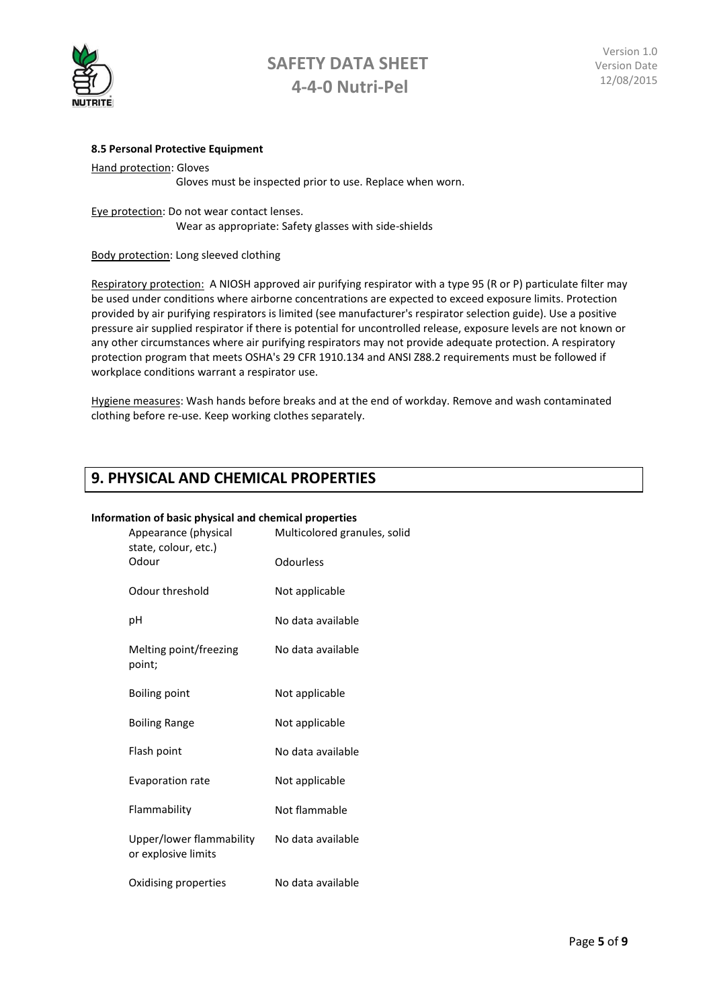

#### **8.5 Personal Protective Equipment**

Hand protection: Gloves Gloves must be inspected prior to use. Replace when worn.

Eye protection: Do not wear contact lenses. Wear as appropriate: Safety glasses with side-shields

Body protection: Long sleeved clothing

Respiratory protection: A NIOSH approved air purifying respirator with a type 95 (R or P) particulate filter may be used under conditions where airborne concentrations are expected to exceed exposure limits. Protection provided by air purifying respirators is limited (see manufacturer's respirator selection guide). Use a positive pressure air supplied respirator if there is potential for uncontrolled release, exposure levels are not known or any other circumstances where air purifying respirators may not provide adequate protection. A respiratory protection program that meets OSHA's 29 CFR 1910.134 and ANSI Z88.2 requirements must be followed if workplace conditions warrant a respirator use.

Hygiene measures: Wash hands before breaks and at the end of workday. Remove and wash contaminated clothing before re-use. Keep working clothes separately.

### **9. PHYSICAL AND CHEMICAL PROPERTIES**

#### **Information of basic physical and chemical properties**

| Appearance (physical<br>state, colour, etc.)<br>Odour | Multicolored granules, solid |  |
|-------------------------------------------------------|------------------------------|--|
|                                                       | Odourless                    |  |
| Odour threshold                                       | Not applicable               |  |
| рH                                                    | No data available            |  |
| Melting point/freezing<br>point;                      | No data available            |  |
| Boiling point                                         | Not applicable               |  |
| <b>Boiling Range</b>                                  | Not applicable               |  |
| Flash point                                           | No data available            |  |
| <b>Evaporation rate</b>                               | Not applicable               |  |
| Flammability                                          | Not flammable                |  |
| Upper/lower flammability<br>or explosive limits       | No data available            |  |
| Oxidising properties                                  | No data available            |  |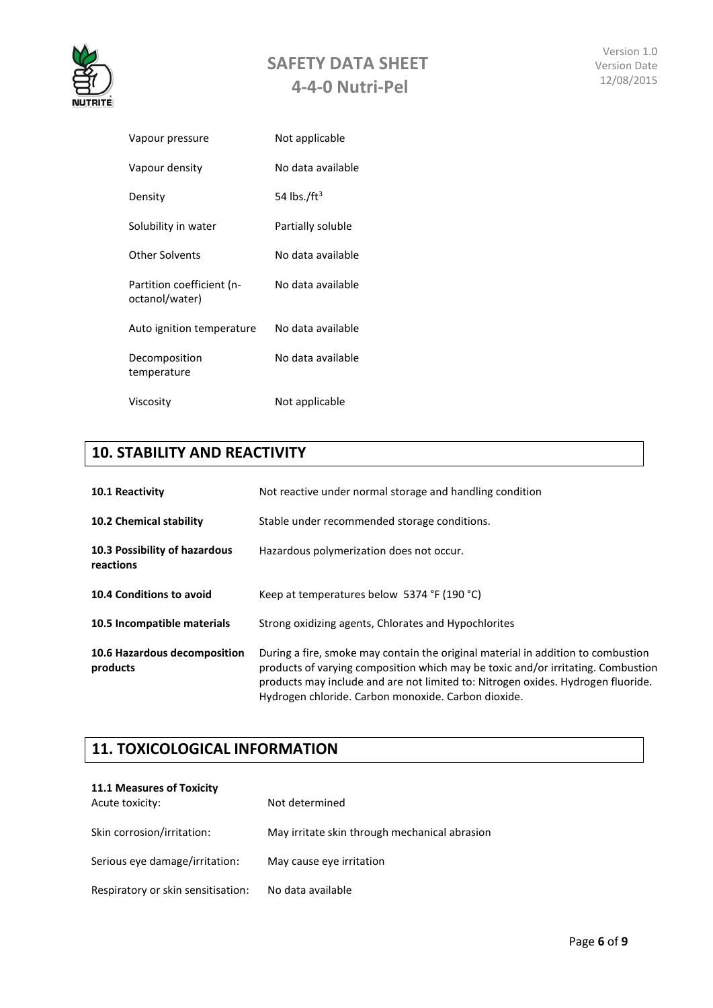

| Vapour pressure                             | Not applicable    |
|---------------------------------------------|-------------------|
| Vapour density                              | No data available |
| Density                                     | 54 lbs./ $ft^3$   |
| Solubility in water                         | Partially soluble |
| <b>Other Solvents</b>                       | No data available |
| Partition coefficient (n-<br>octanol/water) | No data available |
| Auto ignition temperature                   | No data available |
| Decomposition<br>temperature                | No data available |
| Viscosity                                   | Not applicable    |

### **10. STABILITY AND REACTIVITY**

| <b>10.1 Reactivity</b>                     | Not reactive under normal storage and handling condition                                                                                                                                                                                                                                                        |
|--------------------------------------------|-----------------------------------------------------------------------------------------------------------------------------------------------------------------------------------------------------------------------------------------------------------------------------------------------------------------|
| 10.2 Chemical stability                    | Stable under recommended storage conditions.                                                                                                                                                                                                                                                                    |
| 10.3 Possibility of hazardous<br>reactions | Hazardous polymerization does not occur.                                                                                                                                                                                                                                                                        |
| 10.4 Conditions to avoid                   | Keep at temperatures below 5374 °F (190 °C)                                                                                                                                                                                                                                                                     |
| 10.5 Incompatible materials                | Strong oxidizing agents, Chlorates and Hypochlorites                                                                                                                                                                                                                                                            |
| 10.6 Hazardous decomposition<br>products   | During a fire, smoke may contain the original material in addition to combustion<br>products of varying composition which may be toxic and/or irritating. Combustion<br>products may include and are not limited to: Nitrogen oxides. Hydrogen fluoride.<br>Hydrogen chloride. Carbon monoxide. Carbon dioxide. |

### **11. TOXICOLOGICAL INFORMATION**

| <b>11.1 Measures of Toxicity</b>   |                                               |
|------------------------------------|-----------------------------------------------|
| Acute toxicity:                    | Not determined                                |
| Skin corrosion/irritation:         | May irritate skin through mechanical abrasion |
| Serious eye damage/irritation:     | May cause eye irritation                      |
| Respiratory or skin sensitisation: | No data available                             |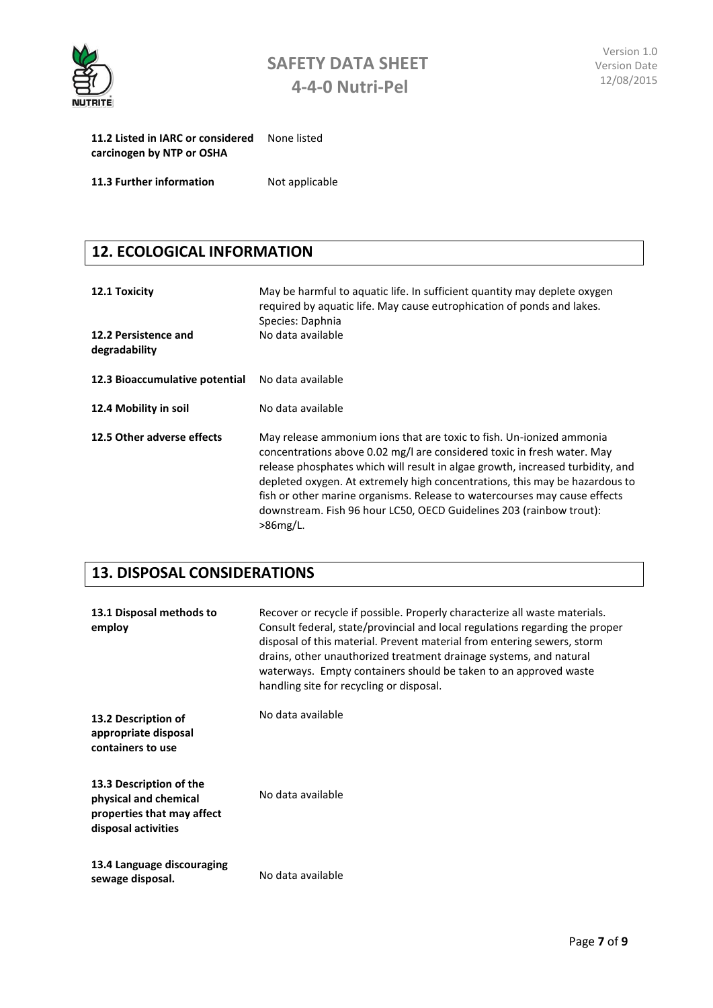

| 11.2 Listed in IARC or considered<br>carcinogen by NTP or OSHA | None listed    |
|----------------------------------------------------------------|----------------|
| 11.3 Further information                                       | Not applicable |

# **12. ECOLOGICAL INFORMATION**

| 12.1 Toxicity<br>12.2 Persistence and<br>degradability | May be harmful to aquatic life. In sufficient quantity may deplete oxygen<br>required by aquatic life. May cause eutrophication of ponds and lakes.<br>Species: Daphnia<br>No data available                                                                                                                                                                                                                                                                                        |
|--------------------------------------------------------|-------------------------------------------------------------------------------------------------------------------------------------------------------------------------------------------------------------------------------------------------------------------------------------------------------------------------------------------------------------------------------------------------------------------------------------------------------------------------------------|
| 12.3 Bioaccumulative potential                         | No data available                                                                                                                                                                                                                                                                                                                                                                                                                                                                   |
| 12.4 Mobility in soil                                  | No data available                                                                                                                                                                                                                                                                                                                                                                                                                                                                   |
| 12.5 Other adverse effects                             | May release ammonium ions that are toxic to fish. Un-ionized ammonia<br>concentrations above 0.02 mg/l are considered toxic in fresh water. May<br>release phosphates which will result in algae growth, increased turbidity, and<br>depleted oxygen. At extremely high concentrations, this may be hazardous to<br>fish or other marine organisms. Release to watercourses may cause effects<br>downstream. Fish 96 hour LC50, OECD Guidelines 203 (rainbow trout):<br>$>86$ mg/L. |

### **13. DISPOSAL CONSIDERATIONS**

| 13.1 Disposal methods to<br>employ                                                                    | Recover or recycle if possible. Properly characterize all waste materials.<br>Consult federal, state/provincial and local regulations regarding the proper<br>disposal of this material. Prevent material from entering sewers, storm<br>drains, other unauthorized treatment drainage systems, and natural<br>waterways. Empty containers should be taken to an approved waste<br>handling site for recycling or disposal. |
|-------------------------------------------------------------------------------------------------------|-----------------------------------------------------------------------------------------------------------------------------------------------------------------------------------------------------------------------------------------------------------------------------------------------------------------------------------------------------------------------------------------------------------------------------|
| 13.2 Description of<br>appropriate disposal<br>containers to use                                      | No data available                                                                                                                                                                                                                                                                                                                                                                                                           |
| 13.3 Description of the<br>physical and chemical<br>properties that may affect<br>disposal activities | No data available                                                                                                                                                                                                                                                                                                                                                                                                           |
| 13.4 Language discouraging<br>sewage disposal.                                                        | No data available                                                                                                                                                                                                                                                                                                                                                                                                           |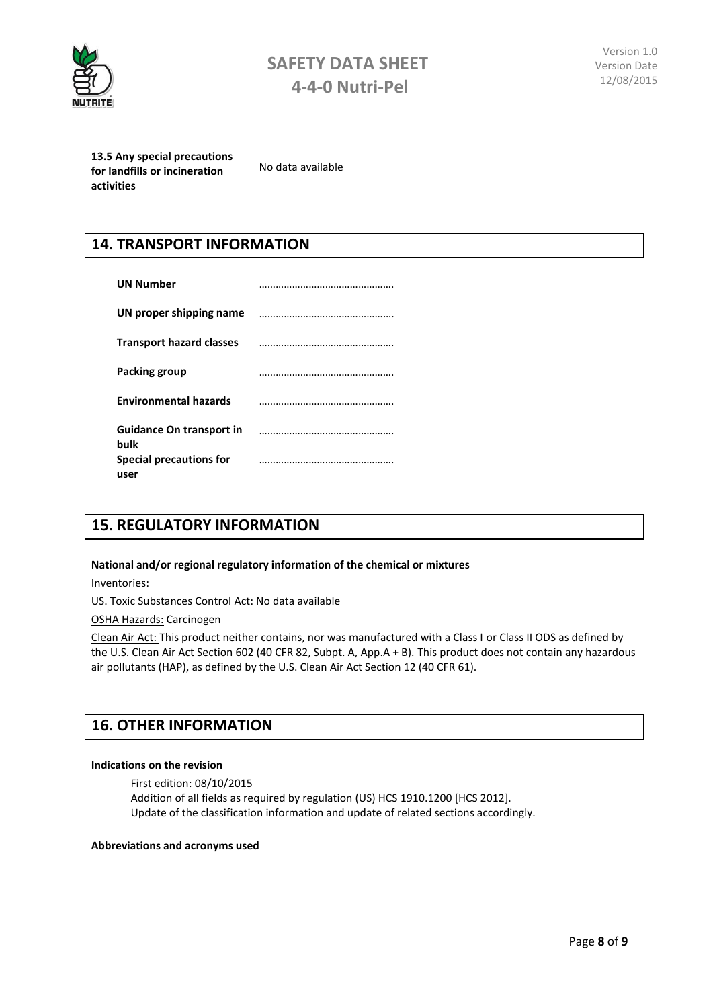

**13.5 Any special precautions for landfills or incineration activities**

No data available

### **14. TRANSPORT INFORMATION**

| <b>UN Number</b>                        |  |
|-----------------------------------------|--|
| UN proper shipping name                 |  |
| <b>Transport hazard classes</b>         |  |
| Packing group                           |  |
| <b>Environmental hazards</b>            |  |
| <b>Guidance On transport in</b><br>bulk |  |
| Special precautions for<br>user         |  |

### **15. REGULATORY INFORMATION**

#### **National and/or regional regulatory information of the chemical or mixtures**

Inventories:

US. Toxic Substances Control Act: No data available

OSHA Hazards: Carcinogen

Clean Air Act: This product neither contains, nor was manufactured with a Class I or Class II ODS as defined by the U.S. Clean Air Act Section 602 (40 CFR 82, Subpt. A, App.A + B). This product does not contain any hazardous air pollutants (HAP), as defined by the U.S. Clean Air Act Section 12 (40 CFR 61).

### **16. OTHER INFORMATION**

#### **Indications on the revision**

First edition: 08/10/2015 Addition of all fields as required by regulation (US) HCS 1910.1200 [HCS 2012]. Update of the classification information and update of related sections accordingly.

#### **Abbreviations and acronyms used**